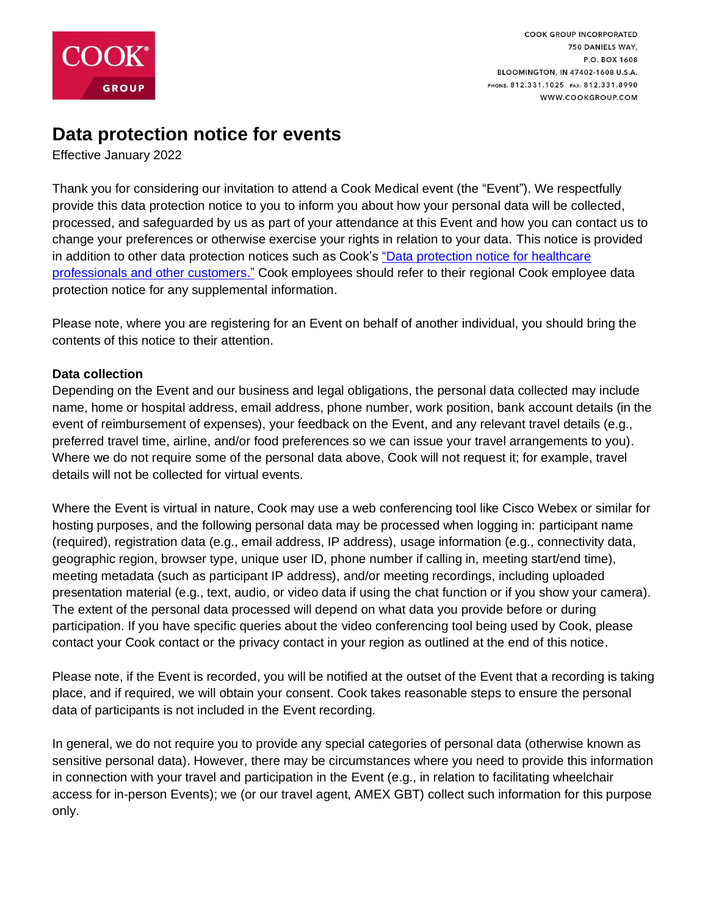

# **Data protection notice for events**

Effective January 2022

Thank you for considering our invitation to attend a Cook Medical event (the "Event"). We respectfully provide this data protection notice to you to inform you about how your personal data will be collected, processed, and safeguarded by us as part of your attendance at this Event and how you can contact us to change your preferences or otherwise exercise your rights in relation to your data. This notice is provided in addition to other data protection notices such as Cook's ["Data protection notice for healthcare](https://www.cookgroup.com/data-protection-notice/)  [professionals and other customers."](https://www.cookgroup.com/data-protection-notice/) Cook employees should refer to their regional Cook employee data protection notice for any supplemental information.

Please note, where you are registering for an Event on behalf of another individual, you should bring the contents of this notice to their attention.

### **Data collection**

Depending on the Event and our business and legal obligations, the personal data collected may include name, home or hospital address, email address, phone number, work position, bank account details (in the event of reimbursement of expenses), your feedback on the Event, and any relevant travel details (e.g., preferred travel time, airline, and/or food preferences so we can issue your travel arrangements to you). Where we do not require some of the personal data above, Cook will not request it; for example, travel details will not be collected for virtual events.

Where the Event is virtual in nature, Cook may use a web conferencing tool like Cisco Webex or similar for hosting purposes, and the following personal data may be processed when logging in: participant name (required), registration data (e.g., email address, IP address), usage information (e.g., connectivity data, geographic region, browser type, unique user ID, phone number if calling in, meeting start/end time), meeting metadata (such as participant IP address), and/or meeting recordings, including uploaded presentation material (e.g., text, audio, or video data if using the chat function or if you show your camera). The extent of the personal data processed will depend on what data you provide before or during participation. If you have specific queries about the video conferencing tool being used by Cook, please contact your Cook contact or the privacy contact in your region as outlined at the end of this notice.

Please note, if the Event is recorded, you will be notified at the outset of the Event that a recording is taking place, and if required, we will obtain your consent. Cook takes reasonable steps to ensure the personal data of participants is not included in the Event recording.

In general, we do not require you to provide any special categories of personal data (otherwise known as sensitive personal data). However, there may be circumstances where you need to provide this information in connection with your travel and participation in the Event (e.g., in relation to facilitating wheelchair access for in-person Events); we (or our travel agent, AMEX GBT) collect such information for this purpose only.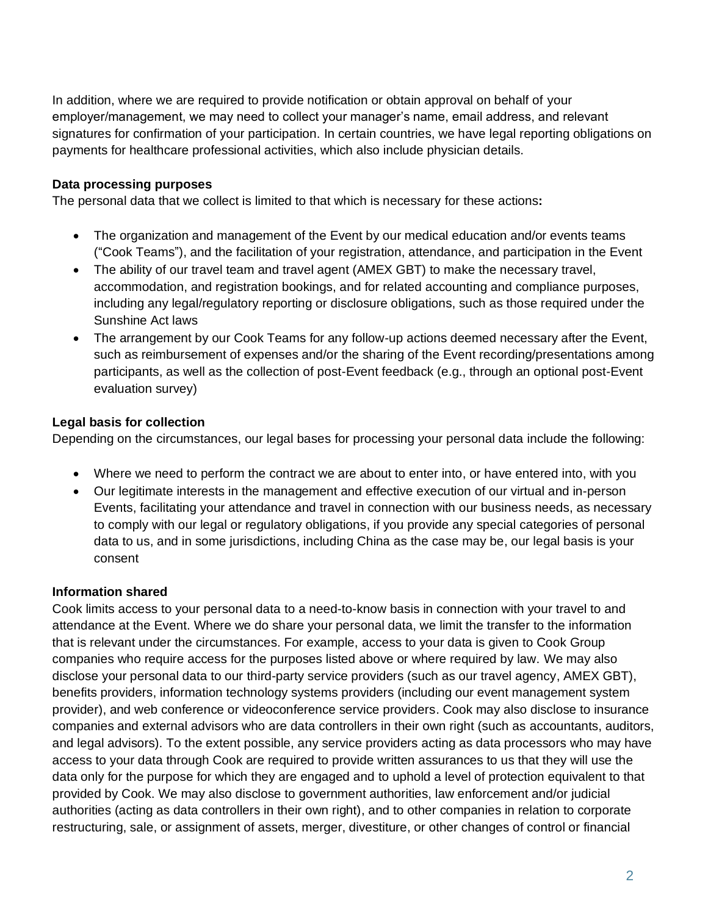In addition, where we are required to provide notification or obtain approval on behalf of your employer/management, we may need to collect your manager's name, email address, and relevant signatures for confirmation of your participation. In certain countries, we have legal reporting obligations on payments for healthcare professional activities, which also include physician details.

# **Data processing purposes**

The personal data that we collect is limited to that which is necessary for these actions**:**

- The organization and management of the Event by our medical education and/or events teams ("Cook Teams"), and the facilitation of your registration, attendance, and participation in the Event
- The ability of our travel team and travel agent (AMEX GBT) to make the necessary travel, accommodation, and registration bookings, and for related accounting and compliance purposes, including any legal/regulatory reporting or disclosure obligations, such as those required under the Sunshine Act laws
- The arrangement by our Cook Teams for any follow-up actions deemed necessary after the Event, such as reimbursement of expenses and/or the sharing of the Event recording/presentations among participants, as well as the collection of post-Event feedback (e.g., through an optional post-Event evaluation survey)

### **Legal basis for collection**

Depending on the circumstances, our legal bases for processing your personal data include the following:

- Where we need to perform the contract we are about to enter into, or have entered into, with you
- Our legitimate interests in the management and effective execution of our virtual and in-person Events, facilitating your attendance and travel in connection with our business needs, as necessary to comply with our legal or regulatory obligations, if you provide any special categories of personal data to us, and in some jurisdictions, including China as the case may be, our legal basis is your consent

#### **Information shared**

Cook limits access to your personal data to a need-to-know basis in connection with your travel to and attendance at the Event. Where we do share your personal data, we limit the transfer to the information that is relevant under the circumstances. For example, access to your data is given to Cook Group companies who require access for the purposes listed above or where required by law. We may also disclose your personal data to our third-party service providers (such as our travel agency, AMEX GBT), benefits providers, information technology systems providers (including our event management system provider), and web conference or videoconference service providers. Cook may also disclose to insurance companies and external advisors who are data controllers in their own right (such as accountants, auditors, and legal advisors). To the extent possible, any service providers acting as data processors who may have access to your data through Cook are required to provide written assurances to us that they will use the data only for the purpose for which they are engaged and to uphold a level of protection equivalent to that provided by Cook. We may also disclose to government authorities, law enforcement and/or judicial authorities (acting as data controllers in their own right), and to other companies in relation to corporate restructuring, sale, or assignment of assets, merger, divestiture, or other changes of control or financial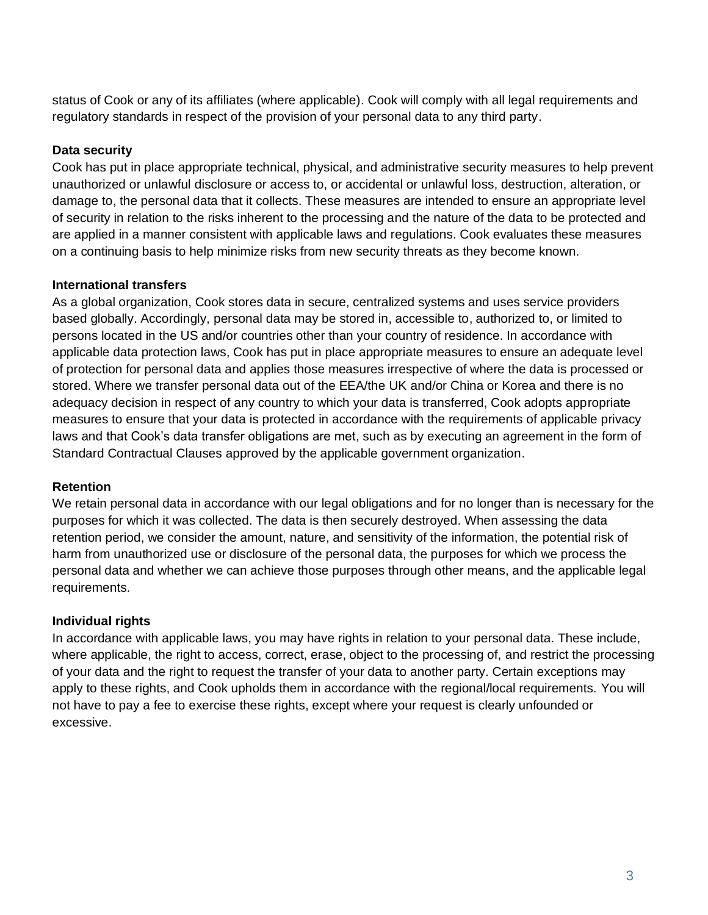status of Cook or any of its affiliates (where applicable). Cook will comply with all legal requirements and regulatory standards in respect of the provision of your personal data to any third party.

# **Data security**

Cook has put in place appropriate technical, physical, and administrative security measures to help prevent unauthorized or unlawful disclosure or access to, or accidental or unlawful loss, destruction, alteration, or damage to, the personal data that it collects. These measures are intended to ensure an appropriate level of security in relation to the risks inherent to the processing and the nature of the data to be protected and are applied in a manner consistent with applicable laws and regulations. Cook evaluates these measures on a continuing basis to help minimize risks from new security threats as they become known.

### **International transfers**

As a global organization, Cook stores data in secure, centralized systems and uses service providers based globally. Accordingly, personal data may be stored in, accessible to, authorized to, or limited to persons located in the US and/or countries other than your country of residence. In accordance with applicable data protection laws, Cook has put in place appropriate measures to ensure an adequate level of protection for personal data and applies those measures irrespective of where the data is processed or stored. Where we transfer personal data out of the EEA/the UK and/or China or Korea and there is no adequacy decision in respect of any country to which your data is transferred, Cook adopts appropriate measures to ensure that your data is protected in accordance with the requirements of applicable privacy laws and that Cook's data transfer obligations are met, such as by executing an agreement in the form of Standard Contractual Clauses approved by the applicable government organization.

#### **Retention**

We retain personal data in accordance with our legal obligations and for no longer than is necessary for the purposes for which it was collected. The data is then securely destroyed. When assessing the data retention period, we consider the amount, nature, and sensitivity of the information, the potential risk of harm from unauthorized use or disclosure of the personal data, the purposes for which we process the personal data and whether we can achieve those purposes through other means, and the applicable legal requirements.

#### **Individual rights**

In accordance with applicable laws, you may have rights in relation to your personal data. These include, where applicable, the right to access, correct, erase, object to the processing of, and restrict the processing of your data and the right to request the transfer of your data to another party. Certain exceptions may apply to these rights, and Cook upholds them in accordance with the regional/local requirements. You will not have to pay a fee to exercise these rights, except where your request is clearly unfounded or excessive.